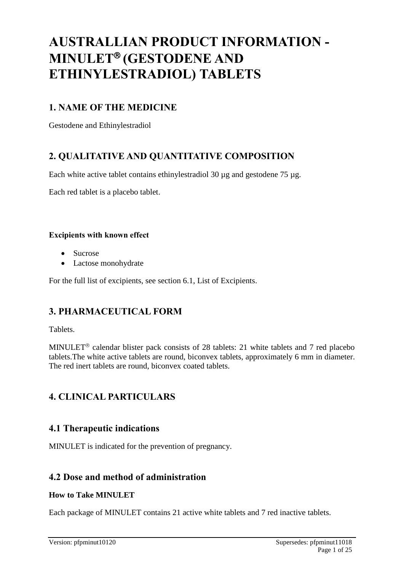# **AUSTRALLIAN PRODUCT INFORMATION - MINULET<sup>®</sup> (GESTODENE AND ETHINYLESTRADIOL) TABLETS**

## **1. NAME OF THE MEDICINE**

Gestodene and Ethinylestradiol

## **2. QUALITATIVE AND QUANTITATIVE COMPOSITION**

Each white active tablet contains ethinylestradiol 30 µg and gestodene 75 µg.

Each red tablet is a placebo tablet.

#### **Excipients with known effect**

- Sucrose
- Lactose monohydrate

For the full list of excipients, see section 6.1, List of Excipients.

## **3. PHARMACEUTICAL FORM**

Tablets.

MINULET<sup>®</sup> calendar blister pack consists of 28 tablets: 21 white tablets and 7 red placebo tablets.The white active tablets are round, biconvex tablets, approximately 6 mm in diameter. The red inert tablets are round, biconvex coated tablets.

## **4. CLINICAL PARTICULARS**

## **4.1 Therapeutic indications**

MINULET is indicated for the prevention of pregnancy.

## **4.2 Dose and method of administration**

#### **How to Take MINULET**

Each package of MINULET contains 21 active white tablets and 7 red inactive tablets.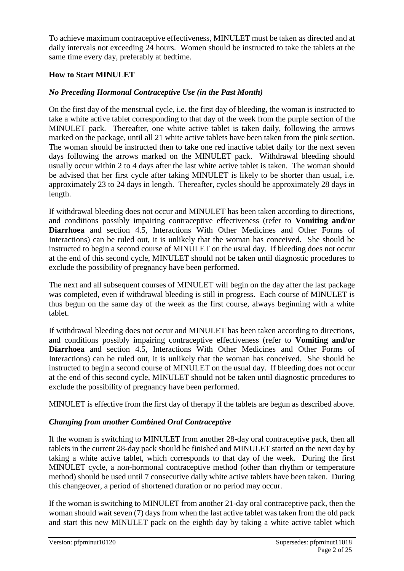To achieve maximum contraceptive effectiveness, MINULET must be taken as directed and at daily intervals not exceeding 24 hours. Women should be instructed to take the tablets at the same time every day, preferably at bedtime.

#### **How to Start MINULET**

### *No Preceding Hormonal Contraceptive Use (in the Past Month)*

On the first day of the menstrual cycle, i.e. the first day of bleeding, the woman is instructed to take a white active tablet corresponding to that day of the week from the purple section of the MINULET pack. Thereafter, one white active tablet is taken daily, following the arrows marked on the package, until all 21 white active tablets have been taken from the pink section. The woman should be instructed then to take one red inactive tablet daily for the next seven days following the arrows marked on the MINULET pack. Withdrawal bleeding should usually occur within 2 to 4 days after the last white active tablet is taken. The woman should be advised that her first cycle after taking MINULET is likely to be shorter than usual, i.e. approximately 23 to 24 days in length. Thereafter, cycles should be approximately 28 days in length.

If withdrawal bleeding does not occur and MINULET has been taken according to directions, and conditions possibly impairing contraceptive effectiveness (refer to **Vomiting and/or Diarrhoea** and section 4.5, Interactions With Other Medicines and Other Forms of Interactions) can be ruled out, it is unlikely that the woman has conceived. She should be instructed to begin a second course of MINULET on the usual day. If bleeding does not occur at the end of this second cycle, MINULET should not be taken until diagnostic procedures to exclude the possibility of pregnancy have been performed.

The next and all subsequent courses of MINULET will begin on the day after the last package was completed, even if withdrawal bleeding is still in progress. Each course of MINULET is thus begun on the same day of the week as the first course, always beginning with a white tablet.

If withdrawal bleeding does not occur and MINULET has been taken according to directions, and conditions possibly impairing contraceptive effectiveness (refer to **Vomiting and/or Diarrhoea** and section 4.5, Interactions With Other Medicines and Other Forms of Interactions) can be ruled out, it is unlikely that the woman has conceived. She should be instructed to begin a second course of MINULET on the usual day. If bleeding does not occur at the end of this second cycle, MINULET should not be taken until diagnostic procedures to exclude the possibility of pregnancy have been performed.

MINULET is effective from the first day of therapy if the tablets are begun as described above.

#### *Changing from another Combined Oral Contraceptive*

If the woman is switching to MINULET from another 28-day oral contraceptive pack, then all tablets in the current 28-day pack should be finished and MINULET started on the next day by taking a white active tablet, which corresponds to that day of the week. During the first MINULET cycle, a non-hormonal contraceptive method (other than rhythm or temperature method) should be used until 7 consecutive daily white active tablets have been taken. During this changeover, a period of shortened duration or no period may occur.

If the woman is switching to MINULET from another 21-day oral contraceptive pack, then the woman should wait seven (7) days from when the last active tablet was taken from the old pack and start this new MINULET pack on the eighth day by taking a white active tablet which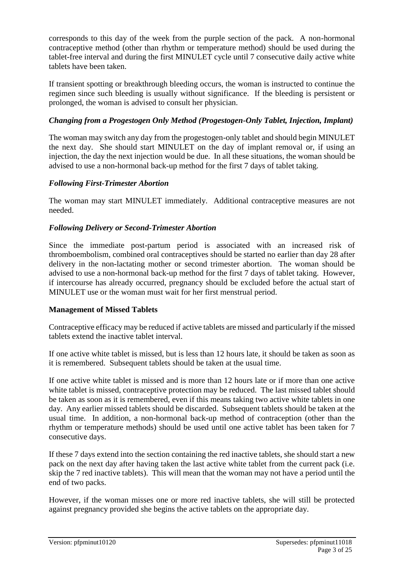corresponds to this day of the week from the purple section of the pack. A non-hormonal contraceptive method (other than rhythm or temperature method) should be used during the tablet-free interval and during the first MINULET cycle until 7 consecutive daily active white tablets have been taken.

If transient spotting or breakthrough bleeding occurs, the woman is instructed to continue the regimen since such bleeding is usually without significance. If the bleeding is persistent or prolonged, the woman is advised to consult her physician.

#### *Changing from a Progestogen Only Method (Progestogen-Only Tablet, Injection, Implant)*

The woman may switch any day from the progestogen-only tablet and should begin MINULET the next day. She should start MINULET on the day of implant removal or, if using an injection, the day the next injection would be due. In all these situations, the woman should be advised to use a non-hormonal back-up method for the first 7 days of tablet taking.

#### *Following First-Trimester Abortion*

The woman may start MINULET immediately. Additional contraceptive measures are not needed.

#### *Following Delivery or Second-Trimester Abortion*

Since the immediate post-partum period is associated with an increased risk of thromboembolism, combined oral contraceptives should be started no earlier than day 28 after delivery in the non-lactating mother or second trimester abortion. The woman should be advised to use a non-hormonal back-up method for the first 7 days of tablet taking. However, if intercourse has already occurred, pregnancy should be excluded before the actual start of MINULET use or the woman must wait for her first menstrual period.

#### **Management of Missed Tablets**

Contraceptive efficacy may be reduced if active tablets are missed and particularly if the missed tablets extend the inactive tablet interval.

If one active white tablet is missed, but is less than 12 hours late, it should be taken as soon as it is remembered. Subsequent tablets should be taken at the usual time.

If one active white tablet is missed and is more than 12 hours late or if more than one active white tablet is missed, contraceptive protection may be reduced. The last missed tablet should be taken as soon as it is remembered, even if this means taking two active white tablets in one day. Any earlier missed tablets should be discarded. Subsequent tablets should be taken at the usual time. In addition, a non-hormonal back-up method of contraception (other than the rhythm or temperature methods) should be used until one active tablet has been taken for 7 consecutive days.

If these 7 days extend into the section containing the red inactive tablets, she should start a new pack on the next day after having taken the last active white tablet from the current pack (i.e. skip the 7 red inactive tablets). This will mean that the woman may not have a period until the end of two packs.

However, if the woman misses one or more red inactive tablets, she will still be protected against pregnancy provided she begins the active tablets on the appropriate day.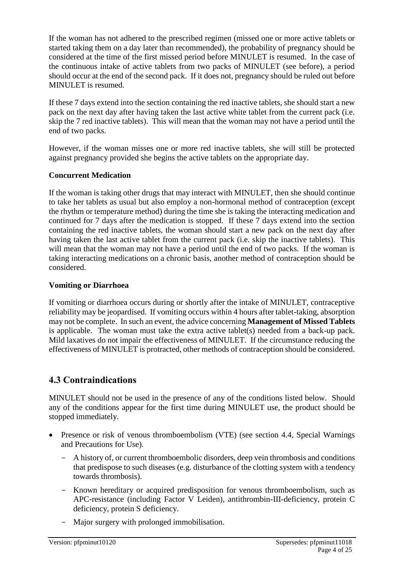If the woman has not adhered to the prescribed regimen (missed one or more active tablets or started taking them on a day later than recommended), the probability of pregnancy should be considered at the time of the first missed period before MINULET is resumed. In the case of the continuous intake of active tablets from two packs of MINULET (see before), a period should occur at the end of the second pack. If it does not, pregnancy should be ruled out before MINULET is resumed.

If these 7 days extend into the section containing the red inactive tablets, she should start a new pack on the next day after having taken the last active white tablet from the current pack (i.e. skip the 7 red inactive tablets). This will mean that the woman may not have a period until the end of two packs.

However, if the woman misses one or more red inactive tablets, she will still be protected against pregnancy provided she begins the active tablets on the appropriate day.

#### **Concurrent Medication**

If the woman is taking other drugs that may interact with MINULET, then she should continue to take her tablets as usual but also employ a non-hormonal method of contraception (except the rhythm or temperature method) during the time she is taking the interacting medication and continued for 7 days after the medication is stopped. If these 7 days extend into the section containing the red inactive tablets, the woman should start a new pack on the next day after having taken the last active tablet from the current pack (i.e. skip the inactive tablets). This will mean that the woman may not have a period until the end of two packs. If the woman is taking interacting medications on a chronic basis, another method of contraception should be considered.

#### **Vomiting or Diarrhoea**

If vomiting or diarrhoea occurs during or shortly after the intake of MINULET, contraceptive reliability may be jeopardised. If vomiting occurs within 4 hours after tablet-taking, absorption may not be complete. In such an event, the advice concerning **Management of Missed Tablets**  is applicable. The woman must take the extra active tablet(s) needed from a back-up pack. Mild laxatives do not impair the effectiveness of MINULET. If the circumstance reducing the effectiveness of MINULET is protracted, other methods of contraception should be considered.

## **4.3 Contraindications**

MINULET should not be used in the presence of any of the conditions listed below. Should any of the conditions appear for the first time during MINULET use, the product should be stopped immediately.

- Presence or risk of venous thromboembolism (VTE) (see section 4.4, Special Warnings and Precautions for Use).
	- A history of, or current thromboembolic disorders, deep vein thrombosis and conditions that predispose to such diseases (e.g. disturbance of the clotting system with a tendency towards thrombosis).
	- Known hereditary or acquired predisposition for venous thromboembolism, such as APC-resistance (including Factor V Leiden), antithrombin-III-deficiency, protein C deficiency, protein S deficiency.
	- Major surgery with prolonged immobilisation.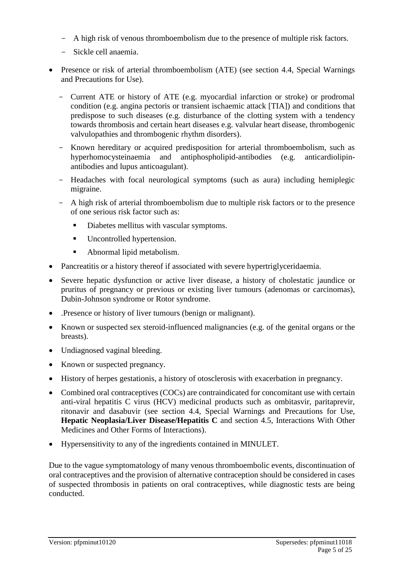- A high risk of venous thromboembolism due to the presence of multiple risk factors.
- Sickle cell anaemia.
- Presence or risk of arterial thromboembolism (ATE) (see section 4.4, Special Warnings and Precautions for Use).
	- Current ATE or history of ATE (e.g. myocardial infarction or stroke) or prodromal condition (e.g. angina pectoris or transient ischaemic attack [TIA]) and conditions that predispose to such diseases (e.g. disturbance of the clotting system with a tendency towards thrombosis and certain heart diseases e.g. valvular heart disease, thrombogenic valvulopathies and thrombogenic rhythm disorders).
	- Known hereditary or acquired predisposition for arterial thromboembolism, such as hyperhomocysteinaemia and antiphospholipid-antibodies (e.g. anticardiolipinantibodies and lupus anticoagulant).
	- Headaches with focal neurological symptoms (such as aura) including hemiplegic migraine.
	- A high risk of arterial thromboembolism due to multiple risk factors or to the presence of one serious risk factor such as:
		- Diabetes mellitus with vascular symptoms.
		- **Uncontrolled hypertension.**
		- Abnormal lipid metabolism.
- Pancreatitis or a history thereof if associated with severe hypertriglyceridaemia.
- Severe hepatic dysfunction or active liver disease, a history of cholestatic jaundice or pruritus of pregnancy or previous or existing liver tumours (adenomas or carcinomas), Dubin-Johnson syndrome or Rotor syndrome.
- .Presence or history of liver tumours (benign or malignant).
- Known or suspected sex steroid-influenced malignancies (e.g. of the genital organs or the breasts).
- Undiagnosed vaginal bleeding.
- Known or suspected pregnancy.
- History of herpes gestationis, a history of otosclerosis with exacerbation in pregnancy.
- Combined oral contraceptives (COCs) are contraindicated for concomitant use with certain anti-viral hepatitis C virus (HCV) medicinal products such as ombitasvir, paritaprevir, ritonavir and dasabuvir (see section 4.4, Special Warnings and Precautions for Use, **Hepatic Neoplasia/Liver Disease/Hepatitis C** and section 4.5, Interactions With Other Medicines and Other Forms of Interactions).
- Hypersensitivity to any of the ingredients contained in MINULET.

Due to the vague symptomatology of many venous thromboembolic events, discontinuation of oral contraceptives and the provision of alternative contraception should be considered in cases of suspected thrombosis in patients on oral contraceptives, while diagnostic tests are being conducted.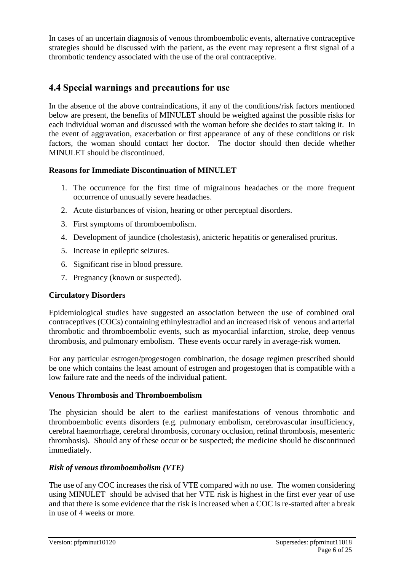In cases of an uncertain diagnosis of venous thromboembolic events, alternative contraceptive strategies should be discussed with the patient, as the event may represent a first signal of a thrombotic tendency associated with the use of the oral contraceptive.

## **4.4 Special warnings and precautions for use**

In the absence of the above contraindications, if any of the conditions/risk factors mentioned below are present, the benefits of MINULET should be weighed against the possible risks for each individual woman and discussed with the woman before she decides to start taking it. In the event of aggravation, exacerbation or first appearance of any of these conditions or risk factors, the woman should contact her doctor. The doctor should then decide whether MINULET should be discontinued.

#### **Reasons for Immediate Discontinuation of MINULET**

- 1. The occurrence for the first time of migrainous headaches or the more frequent occurrence of unusually severe headaches.
- 2. Acute disturbances of vision, hearing or other perceptual disorders.
- 3. First symptoms of thromboembolism.
- 4. Development of jaundice (cholestasis), anicteric hepatitis or generalised pruritus.
- 5. Increase in epileptic seizures.
- 6. Significant rise in blood pressure.
- 7. Pregnancy (known or suspected).

#### **Circulatory Disorders**

Epidemiological studies have suggested an association between the use of combined oral contraceptives (COCs) containing ethinylestradiol and an increased risk of venous and arterial thrombotic and thromboembolic events, such as myocardial infarction, stroke, deep venous thrombosis, and pulmonary embolism. These events occur rarely in average-risk women.

For any particular estrogen/progestogen combination, the dosage regimen prescribed should be one which contains the least amount of estrogen and progestogen that is compatible with a low failure rate and the needs of the individual patient.

#### **Venous Thrombosis and Thromboembolism**

The physician should be alert to the earliest manifestations of venous thrombotic and thromboembolic events disorders (e.g. pulmonary embolism, cerebrovascular insufficiency, cerebral haemorrhage, cerebral thrombosis, coronary occlusion, retinal thrombosis, mesenteric thrombosis). Should any of these occur or be suspected; the medicine should be discontinued immediately.

#### *Risk of venous thromboembolism (VTE)*

The use of any COC increases the risk of VTE compared with no use. The women considering using MINULET should be advised that her VTE risk is highest in the first ever year of use and that there is some evidence that the risk is increased when a COC is re-started after a break in use of 4 weeks or more.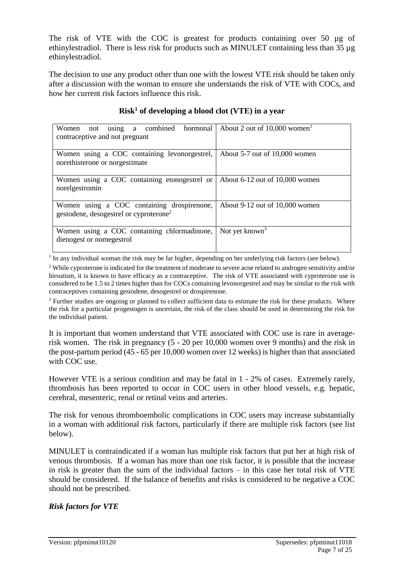The risk of VTE with the COC is greatest for products containing over 50 µg of ethinylestradiol. There is less risk for products such as MINULET containing less than 35 µg ethinylestradiol.

The decision to use any product other than one with the lowest VTE risk should be taken only after a discussion with the woman to ensure she understands the risk of VTE with COCs, and how her current risk factors influence this risk.

| Women not<br>using a combined hormonal<br>contraceptive and not pregnant                              | About 2 out of $10,000$ women <sup>1</sup> |
|-------------------------------------------------------------------------------------------------------|--------------------------------------------|
| Women using a COC containing levonorgestrel,<br>norethisterone or norgestimate                        | About $5-7$ out of 10,000 women            |
| Women using a COC containing etonogestrel or $\vert$ About 6-12 out of 10,000 women<br>norelgestromin |                                            |
| Women using a COC containing drospirenone,<br>gestodene, desogestrel or cyproterone <sup>2</sup>      | About 9-12 out of 10,000 women             |
| Women using a COC containing chlormadinone,<br>dienogest or nomegestrol                               | Not yet known <sup>3</sup>                 |

#### **Risk<sup>1</sup> of developing a blood clot (VTE) in a year**

<sup>1</sup> In any individual woman the risk may be far higher, depending on her underlying risk factors (see below).

<sup>2</sup> While cyproterone is indicated for the treatment of moderate to severe acne related to androgen sensitivity and/or hirsutism, it is known to have efficacy as a contraceptive. The risk of VTE associated with cyproterone use is considered to be 1.5 to 2 times higher than for COCs containing levonorgestrel and may be similar to the risk with contraceptives containing gestodene, desogestrel or drospirenone.

<sup>3</sup> Further studies are ongoing or planned to collect sufficient data to estimate the risk for these products. Where the risk for a particular progestogen is uncertain, the risk of the class should be used in determining the risk for the individual patient.

It is important that women understand that VTE associated with COC use is rare in averagerisk women. The risk in pregnancy (5 - 20 per 10,000 women over 9 months) and the risk in the post-partum period (45 - 65 per 10,000 women over 12 weeks) is higher than that associated with COC use.

However VTE is a serious condition and may be fatal in 1 - 2% of cases. Extremely rarely, thrombosis has been reported to occur in COC users in other blood vessels, e.g. hepatic, cerebral, mesenteric, renal or retinal veins and arteries.

The risk for venous thromboembolic complications in COC users may increase substantially in a woman with additional risk factors, particularly if there are multiple risk factors (see list below).

MINULET is contraindicated if a woman has multiple risk factors that put her at high risk of venous thrombosis. If a woman has more than one risk factor, it is possible that the increase in risk is greater than the sum of the individual factors  $-$  in this case her total risk of VTE should be considered. If the balance of benefits and risks is considered to be negative a COC should not be prescribed.

#### *Risk factors for VTE*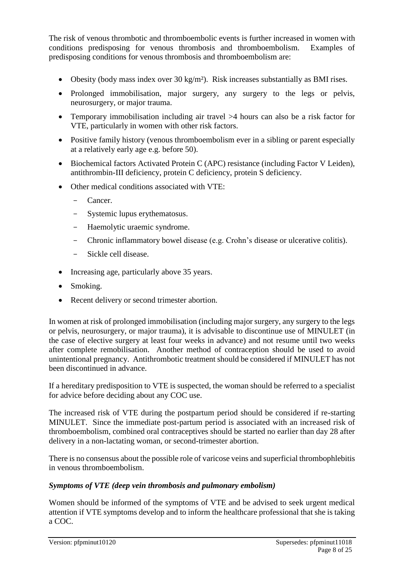The risk of venous thrombotic and thromboembolic events is further increased in women with conditions predisposing for venous thrombosis and thromboembolism. Examples of predisposing conditions for venous thrombosis and thromboembolism are:

- Obesity (body mass index over 30 kg/m²). Risk increases substantially as BMI rises.
- Prolonged immobilisation, major surgery, any surgery to the legs or pelvis, neurosurgery, or major trauma.
- Temporary immobilisation including air travel >4 hours can also be a risk factor for VTE, particularly in women with other risk factors.
- Positive family history (venous thromboembolism ever in a sibling or parent especially at a relatively early age e.g. before 50).
- Biochemical factors Activated Protein C (APC) resistance (including Factor V Leiden), antithrombin-III deficiency, protein C deficiency, protein S deficiency.
- Other medical conditions associated with VTE:
	- Cancer.
	- Systemic lupus erythematosus.
	- Haemolytic uraemic syndrome.
	- Chronic inflammatory bowel disease (e.g. Crohn's disease or ulcerative colitis).
	- Sickle cell disease.
- Increasing age, particularly above 35 years.
- Smoking.
- Recent delivery or second trimester abortion.

In women at risk of prolonged immobilisation (including major surgery, any surgery to the legs or pelvis, neurosurgery, or major trauma), it is advisable to discontinue use of MINULET (in the case of elective surgery at least four weeks in advance) and not resume until two weeks after complete remobilisation. Another method of contraception should be used to avoid unintentional pregnancy. Antithrombotic treatment should be considered if MINULET has not been discontinued in advance.

If a hereditary predisposition to VTE is suspected, the woman should be referred to a specialist for advice before deciding about any COC use.

The increased risk of VTE during the postpartum period should be considered if re-starting MINULET. Since the immediate post-partum period is associated with an increased risk of thromboembolism, combined oral contraceptives should be started no earlier than day 28 after delivery in a non-lactating woman, or second-trimester abortion.

There is no consensus about the possible role of varicose veins and superficial thrombophlebitis in venous thromboembolism.

#### *Symptoms of VTE (deep vein thrombosis and pulmonary embolism)*

Women should be informed of the symptoms of VTE and be advised to seek urgent medical attention if VTE symptoms develop and to inform the healthcare professional that she is taking a COC.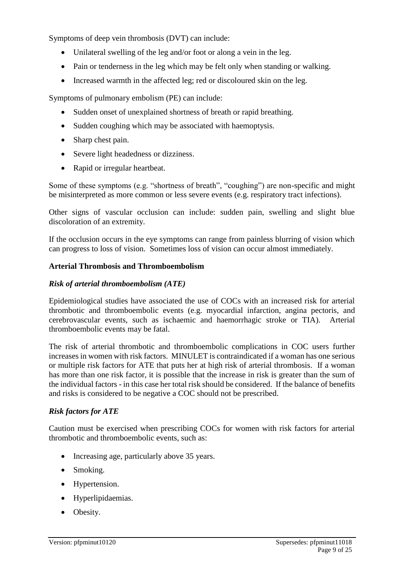Symptoms of deep vein thrombosis (DVT) can include:

- Unilateral swelling of the leg and/or foot or along a vein in the leg.
- Pain or tenderness in the leg which may be felt only when standing or walking.
- Increased warmth in the affected leg; red or discoloured skin on the leg.

Symptoms of pulmonary embolism (PE) can include:

- Sudden onset of unexplained shortness of breath or rapid breathing.
- Sudden coughing which may be associated with haemoptysis.
- Sharp chest pain.
- Severe light headedness or dizziness.
- Rapid or irregular heartbeat.

Some of these symptoms (e.g. "shortness of breath", "coughing") are non-specific and might be misinterpreted as more common or less severe events (e.g. respiratory tract infections).

Other signs of vascular occlusion can include: sudden pain, swelling and slight blue discoloration of an extremity.

If the occlusion occurs in the eye symptoms can range from painless blurring of vision which can progress to loss of vision. Sometimes loss of vision can occur almost immediately.

#### **Arterial Thrombosis and Thromboembolism**

#### *Risk of arterial thromboembolism (ATE)*

Epidemiological studies have associated the use of COCs with an increased risk for arterial thrombotic and thromboembolic events (e.g. myocardial infarction, angina pectoris, and cerebrovascular events, such as ischaemic and haemorrhagic stroke or TIA). Arterial thromboembolic events may be fatal.

The risk of arterial thrombotic and thromboembolic complications in COC users further increases in women with risk factors. MINULET is contraindicated if a woman has one serious or multiple risk factors for ATE that puts her at high risk of arterial thrombosis. If a woman has more than one risk factor, it is possible that the increase in risk is greater than the sum of the individual factors - in this case her total risk should be considered. If the balance of benefits and risks is considered to be negative a COC should not be prescribed.

#### *Risk factors for ATE*

Caution must be exercised when prescribing COCs for women with risk factors for arterial thrombotic and thromboembolic events, such as:

- Increasing age, particularly above 35 years.
- Smoking.
- Hypertension.
- Hyperlipidaemias.
- Obesity.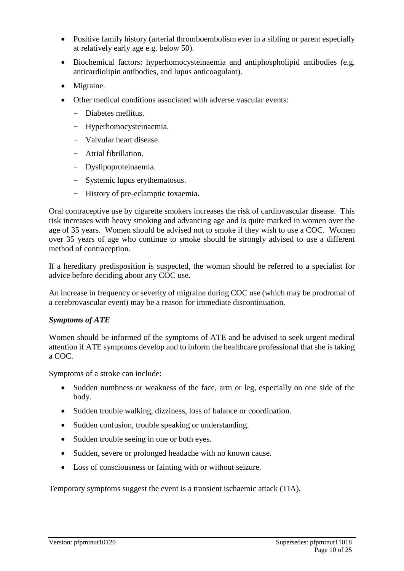- Positive family history (arterial thromboembolism ever in a sibling or parent especially at relatively early age e.g. below 50).
- Biochemical factors: hyperhomocysteinaemia and antiphospholipid antibodies (e.g. anticardiolipin antibodies, and lupus anticoagulant).
- Migraine.
- Other medical conditions associated with adverse vascular events:
	- Diabetes mellitus.
	- Hyperhomocysteinaemia.
	- Valvular heart disease.
	- Atrial fibrillation.
	- Dyslipoproteinaemia.
	- Systemic lupus erythematosus.
	- History of pre-eclamptic toxaemia.

Oral contraceptive use by cigarette smokers increases the risk of cardiovascular disease. This risk increases with heavy smoking and advancing age and is quite marked in women over the age of 35 years. Women should be advised not to smoke if they wish to use a COC. Women over 35 years of age who continue to smoke should be strongly advised to use a different method of contraception.

If a hereditary predisposition is suspected, the woman should be referred to a specialist for advice before deciding about any COC use.

An increase in frequency or severity of migraine during COC use (which may be prodromal of a cerebrovascular event) may be a reason for immediate discontinuation.

#### *Symptoms of ATE*

Women should be informed of the symptoms of ATE and be advised to seek urgent medical attention if ATE symptoms develop and to inform the healthcare professional that she is taking a COC.

Symptoms of a stroke can include:

- Sudden numbness or weakness of the face, arm or leg, especially on one side of the body.
- Sudden trouble walking, dizziness, loss of balance or coordination.
- Sudden confusion, trouble speaking or understanding.
- Sudden trouble seeing in one or both eyes.
- Sudden, severe or prolonged headache with no known cause.
- Loss of consciousness or fainting with or without seizure.

Temporary symptoms suggest the event is a transient ischaemic attack (TIA).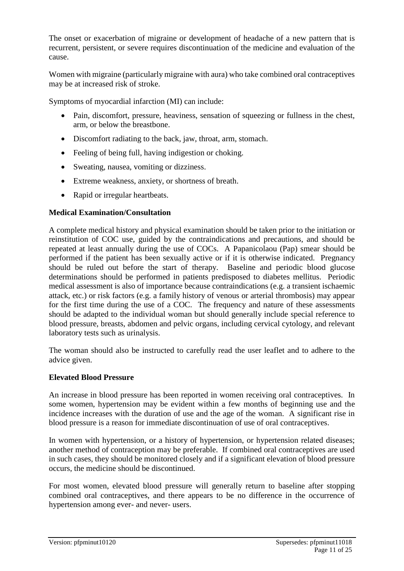The onset or exacerbation of migraine or development of headache of a new pattern that is recurrent, persistent, or severe requires discontinuation of the medicine and evaluation of the cause.

Women with migraine (particularly migraine with aura) who take combined oral contraceptives may be at increased risk of stroke.

Symptoms of myocardial infarction (MI) can include:

- Pain, discomfort, pressure, heaviness, sensation of squeezing or fullness in the chest, arm, or below the breastbone.
- Discomfort radiating to the back, jaw, throat, arm, stomach.
- Feeling of being full, having indigestion or choking.
- Sweating, nausea, vomiting or dizziness.
- Extreme weakness, anxiety, or shortness of breath.
- Rapid or irregular heartbeats.

#### **Medical Examination/Consultation**

A complete medical history and physical examination should be taken prior to the initiation or reinstitution of COC use, guided by the contraindications and precautions, and should be repeated at least annually during the use of COCs. A Papanicolaou (Pap) smear should be performed if the patient has been sexually active or if it is otherwise indicated. Pregnancy should be ruled out before the start of therapy. Baseline and periodic blood glucose determinations should be performed in patients predisposed to diabetes mellitus. Periodic medical assessment is also of importance because contraindications (e.g. a transient ischaemic attack, etc.) or risk factors (e.g. a family history of venous or arterial thrombosis) may appear for the first time during the use of a COC. The frequency and nature of these assessments should be adapted to the individual woman but should generally include special reference to blood pressure, breasts, abdomen and pelvic organs, including cervical cytology, and relevant laboratory tests such as urinalysis.

The woman should also be instructed to carefully read the user leaflet and to adhere to the advice given.

#### **Elevated Blood Pressure**

An increase in blood pressure has been reported in women receiving oral contraceptives. In some women, hypertension may be evident within a few months of beginning use and the incidence increases with the duration of use and the age of the woman. A significant rise in blood pressure is a reason for immediate discontinuation of use of oral contraceptives.

In women with hypertension, or a history of hypertension, or hypertension related diseases; another method of contraception may be preferable. If combined oral contraceptives are used in such cases, they should be monitored closely and if a significant elevation of blood pressure occurs, the medicine should be discontinued.

For most women, elevated blood pressure will generally return to baseline after stopping combined oral contraceptives, and there appears to be no difference in the occurrence of hypertension among ever- and never- users.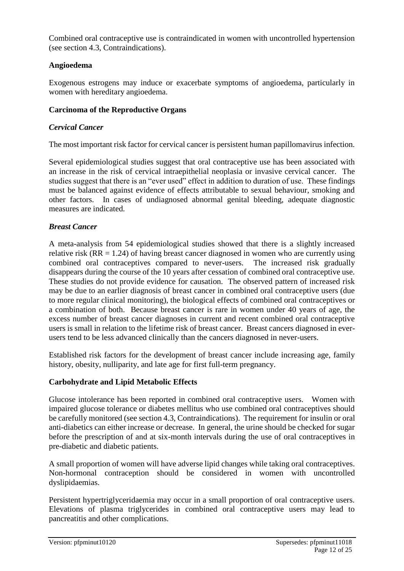Combined oral contraceptive use is contraindicated in women with uncontrolled hypertension (see section 4.3, Contraindications).

### **Angioedema**

Exogenous estrogens may induce or exacerbate symptoms of angioedema, particularly in women with hereditary angioedema.

#### **Carcinoma of the Reproductive Organs**

#### *Cervical Cancer*

The most important risk factor for cervical cancer is persistent human papillomavirus infection.

Several epidemiological studies suggest that oral contraceptive use has been associated with an increase in the risk of cervical intraepithelial neoplasia or invasive cervical cancer. The studies suggest that there is an "ever used" effect in addition to duration of use. These findings must be balanced against evidence of effects attributable to sexual behaviour, smoking and other factors. In cases of undiagnosed abnormal genital bleeding, adequate diagnostic measures are indicated.

#### *Breast Cancer*

A meta-analysis from 54 epidemiological studies showed that there is a slightly increased relative risk ( $RR = 1.24$ ) of having breast cancer diagnosed in women who are currently using combined oral contraceptives compared to never-users. The increased risk gradually disappears during the course of the 10 years after cessation of combined oral contraceptive use. These studies do not provide evidence for causation. The observed pattern of increased risk may be due to an earlier diagnosis of breast cancer in combined oral contraceptive users (due to more regular clinical monitoring), the biological effects of combined oral contraceptives or a combination of both. Because breast cancer is rare in women under 40 years of age, the excess number of breast cancer diagnoses in current and recent combined oral contraceptive users is small in relation to the lifetime risk of breast cancer. Breast cancers diagnosed in everusers tend to be less advanced clinically than the cancers diagnosed in never-users.

Established risk factors for the development of breast cancer include increasing age, family history, obesity, nulliparity, and late age for first full-term pregnancy.

#### **Carbohydrate and Lipid Metabolic Effects**

Glucose intolerance has been reported in combined oral contraceptive users. Women with impaired glucose tolerance or diabetes mellitus who use combined oral contraceptives should be carefully monitored (see section 4.3, Contraindications). The requirement for insulin or oral anti-diabetics can either increase or decrease. In general, the urine should be checked for sugar before the prescription of and at six-month intervals during the use of oral contraceptives in pre-diabetic and diabetic patients.

A small proportion of women will have adverse lipid changes while taking oral contraceptives. Non-hormonal contraception should be considered in women with uncontrolled dyslipidaemias.

Persistent hypertriglyceridaemia may occur in a small proportion of oral contraceptive users. Elevations of plasma triglycerides in combined oral contraceptive users may lead to pancreatitis and other complications.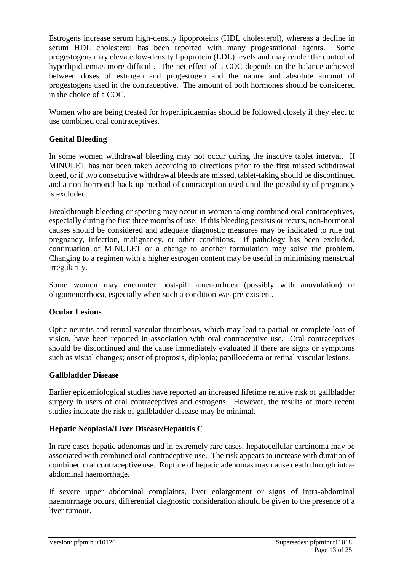Estrogens increase serum high-density lipoproteins (HDL cholesterol), whereas a decline in serum HDL cholesterol has been reported with many progestational agents. Some progestogens may elevate low-density lipoprotein (LDL) levels and may render the control of hyperlipidaemias more difficult. The net effect of a COC depends on the balance achieved between doses of estrogen and progestogen and the nature and absolute amount of progestogens used in the contraceptive. The amount of both hormones should be considered in the choice of a COC.

Women who are being treated for hyperlipidaemias should be followed closely if they elect to use combined oral contraceptives.

#### **Genital Bleeding**

In some women withdrawal bleeding may not occur during the inactive tablet interval. If MINULET has not been taken according to directions prior to the first missed withdrawal bleed, or if two consecutive withdrawal bleeds are missed, tablet-taking should be discontinued and a non-hormonal back-up method of contraception used until the possibility of pregnancy is excluded.

Breakthrough bleeding or spotting may occur in women taking combined oral contraceptives, especially during the first three months of use. If this bleeding persists or recurs, non-hormonal causes should be considered and adequate diagnostic measures may be indicated to rule out pregnancy, infection, malignancy, or other conditions. If pathology has been excluded, continuation of MINULET or a change to another formulation may solve the problem. Changing to a regimen with a higher estrogen content may be useful in minimising menstrual irregularity.

Some women may encounter post-pill amenorrhoea (possibly with anovulation) or oligomenorrhoea, especially when such a condition was pre-existent.

#### **Ocular Lesions**

Optic neuritis and retinal vascular thrombosis, which may lead to partial or complete loss of vision, have been reported in association with oral contraceptive use. Oral contraceptives should be discontinued and the cause immediately evaluated if there are signs or symptoms such as visual changes; onset of proptosis, diplopia; papilloedema or retinal vascular lesions.

#### **Gallbladder Disease**

Earlier epidemiological studies have reported an increased lifetime relative risk of gallbladder surgery in users of oral contraceptives and estrogens. However, the results of more recent studies indicate the risk of gallbladder disease may be minimal.

#### **Hepatic Neoplasia/Liver Disease/Hepatitis C**

In rare cases hepatic adenomas and in extremely rare cases, hepatocellular carcinoma may be associated with combined oral contraceptive use. The risk appears to increase with duration of combined oral contraceptive use. Rupture of hepatic adenomas may cause death through intraabdominal haemorrhage.

If severe upper abdominal complaints, liver enlargement or signs of intra-abdominal haemorrhage occurs, differential diagnostic consideration should be given to the presence of a liver tumour.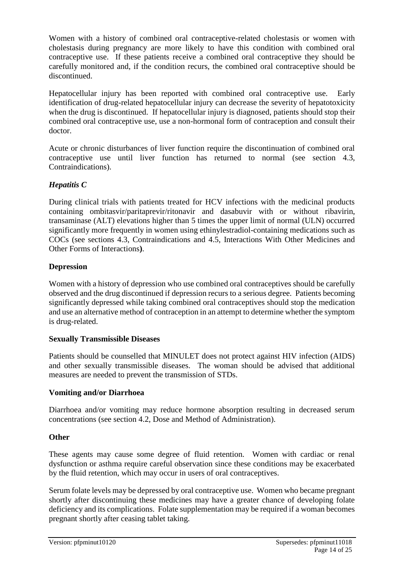Women with a history of combined oral contraceptive-related cholestasis or women with cholestasis during pregnancy are more likely to have this condition with combined oral contraceptive use. If these patients receive a combined oral contraceptive they should be carefully monitored and, if the condition recurs, the combined oral contraceptive should be discontinued.

Hepatocellular injury has been reported with combined oral contraceptive use. Early identification of drug-related hepatocellular injury can decrease the severity of hepatotoxicity when the drug is discontinued. If hepatocellular injury is diagnosed, patients should stop their combined oral contraceptive use, use a non-hormonal form of contraception and consult their doctor.

Acute or chronic disturbances of liver function require the discontinuation of combined oral contraceptive use until liver function has returned to normal (see section 4.3, Contraindications).

### *Hepatitis C*

During clinical trials with patients treated for HCV infections with the medicinal products containing ombitasvir/paritaprevir/ritonavir and dasabuvir with or without ribavirin, transaminase (ALT) elevations higher than 5 times the upper limit of normal (ULN) occurred significantly more frequently in women using ethinylestradiol-containing medications such as COCs (see sections 4.3, Contraindications and 4.5, Interactions With Other Medicines and Other Forms of Interactions**)**.

### **Depression**

Women with a history of depression who use combined oral contraceptives should be carefully observed and the drug discontinued if depression recurs to a serious degree. Patients becoming significantly depressed while taking combined oral contraceptives should stop the medication and use an alternative method of contraception in an attempt to determine whether the symptom is drug-related.

#### **Sexually Transmissible Diseases**

Patients should be counselled that MINULET does not protect against HIV infection (AIDS) and other sexually transmissible diseases. The woman should be advised that additional measures are needed to prevent the transmission of STDs.

#### **Vomiting and/or Diarrhoea**

Diarrhoea and/or vomiting may reduce hormone absorption resulting in decreased serum concentrations (see section 4.2, Dose and Method of Administration).

#### **Other**

These agents may cause some degree of fluid retention. Women with cardiac or renal dysfunction or asthma require careful observation since these conditions may be exacerbated by the fluid retention, which may occur in users of oral contraceptives.

Serum folate levels may be depressed by oral contraceptive use. Women who became pregnant shortly after discontinuing these medicines may have a greater chance of developing folate deficiency and its complications. Folate supplementation may be required if a woman becomes pregnant shortly after ceasing tablet taking.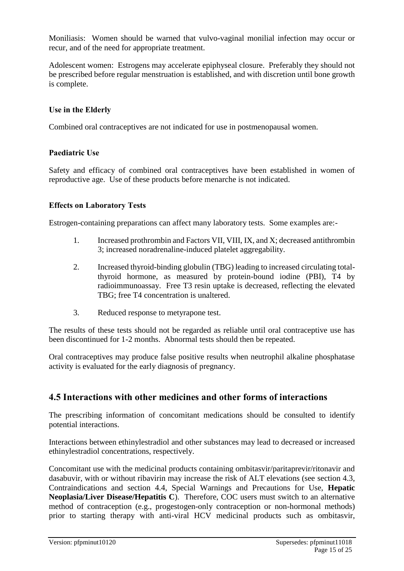Moniliasis: Women should be warned that vulvo-vaginal monilial infection may occur or recur, and of the need for appropriate treatment.

Adolescent women: Estrogens may accelerate epiphyseal closure. Preferably they should not be prescribed before regular menstruation is established, and with discretion until bone growth is complete.

#### **Use in the Elderly**

Combined oral contraceptives are not indicated for use in postmenopausal women.

#### **Paediatric Use**

Safety and efficacy of combined oral contraceptives have been established in women of reproductive age. Use of these products before menarche is not indicated.

#### **Effects on Laboratory Tests**

Estrogen-containing preparations can affect many laboratory tests. Some examples are:-

- 1. Increased prothrombin and Factors VII, VIII, IX, and X; decreased antithrombin 3; increased noradrenaline-induced platelet aggregability.
- 2. Increased thyroid-binding globulin (TBG) leading to increased circulating totalthyroid hormone, as measured by protein-bound iodine (PBI), T4 by radioimmunoassay. Free T3 resin uptake is decreased, reflecting the elevated TBG; free T4 concentration is unaltered.
- 3. Reduced response to metyrapone test.

The results of these tests should not be regarded as reliable until oral contraceptive use has been discontinued for 1-2 months. Abnormal tests should then be repeated.

Oral contraceptives may produce false positive results when neutrophil alkaline phosphatase activity is evaluated for the early diagnosis of pregnancy.

#### **4.5 Interactions with other medicines and other forms of interactions**

The prescribing information of concomitant medications should be consulted to identify potential interactions.

Interactions between ethinylestradiol and other substances may lead to decreased or increased ethinylestradiol concentrations, respectively.

Concomitant use with the medicinal products containing ombitasvir/paritaprevir/ritonavir and dasabuvir, with or without ribavirin may increase the risk of ALT elevations (see section 4.3, Contraindications and section 4.4, Special Warnings and Precautions for Use, **Hepatic Neoplasia/Liver Disease/Hepatitis C**). Therefore, COC users must switch to an alternative method of contraception (e.g., progestogen-only contraception or non-hormonal methods) prior to starting therapy with anti-viral HCV medicinal products such as ombitasvir,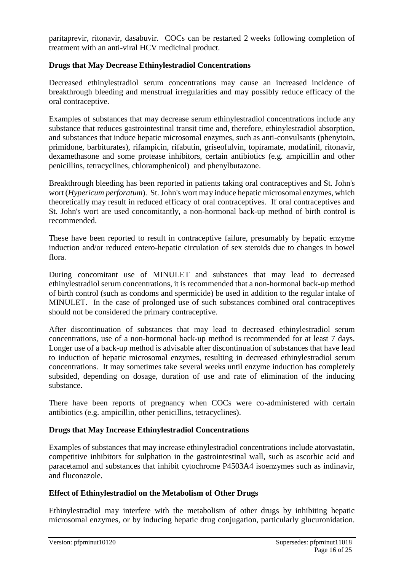paritaprevir, ritonavir, dasabuvir. COCs can be restarted 2 weeks following completion of treatment with an anti-viral HCV medicinal product.

#### **Drugs that May Decrease Ethinylestradiol Concentrations**

Decreased ethinylestradiol serum concentrations may cause an increased incidence of breakthrough bleeding and menstrual irregularities and may possibly reduce efficacy of the oral contraceptive.

Examples of substances that may decrease serum ethinylestradiol concentrations include any substance that reduces gastrointestinal transit time and, therefore, ethinylestradiol absorption, and substances that induce hepatic microsomal enzymes, such as anti-convulsants (phenytoin, primidone, barbiturates), rifampicin, rifabutin, griseofulvin, topiramate, modafinil, ritonavir, dexamethasone and some protease inhibitors, certain antibiotics (e.g. ampicillin and other penicillins, tetracyclines, chloramphenicol) and phenylbutazone.

Breakthrough bleeding has been reported in patients taking oral contraceptives and St. John's wort (*Hypericum perforatum*). St. John's wort may induce hepatic microsomal enzymes, which theoretically may result in reduced efficacy of oral contraceptives. If oral contraceptives and St. John's wort are used concomitantly, a non-hormonal back-up method of birth control is recommended.

These have been reported to result in contraceptive failure, presumably by hepatic enzyme induction and/or reduced entero-hepatic circulation of sex steroids due to changes in bowel flora.

During concomitant use of MINULET and substances that may lead to decreased ethinylestradiol serum concentrations, it is recommended that a non-hormonal back-up method of birth control (such as condoms and spermicide) be used in addition to the regular intake of MINULET. In the case of prolonged use of such substances combined oral contraceptives should not be considered the primary contraceptive.

After discontinuation of substances that may lead to decreased ethinylestradiol serum concentrations, use of a non-hormonal back-up method is recommended for at least 7 days. Longer use of a back-up method is advisable after discontinuation of substances that have lead to induction of hepatic microsomal enzymes, resulting in decreased ethinylestradiol serum concentrations. It may sometimes take several weeks until enzyme induction has completely subsided, depending on dosage, duration of use and rate of elimination of the inducing substance.

There have been reports of pregnancy when COCs were co-administered with certain antibiotics (e.g. ampicillin, other penicillins, tetracyclines).

#### **Drugs that May Increase Ethinylestradiol Concentrations**

Examples of substances that may increase ethinylestradiol concentrations include atorvastatin, competitive inhibitors for sulphation in the gastrointestinal wall, such as ascorbic acid and paracetamol and substances that inhibit cytochrome P4503A4 isoenzymes such as indinavir, and fluconazole.

#### **Effect of Ethinylestradiol on the Metabolism of Other Drugs**

Ethinylestradiol may interfere with the metabolism of other drugs by inhibiting hepatic microsomal enzymes, or by inducing hepatic drug conjugation, particularly glucuronidation.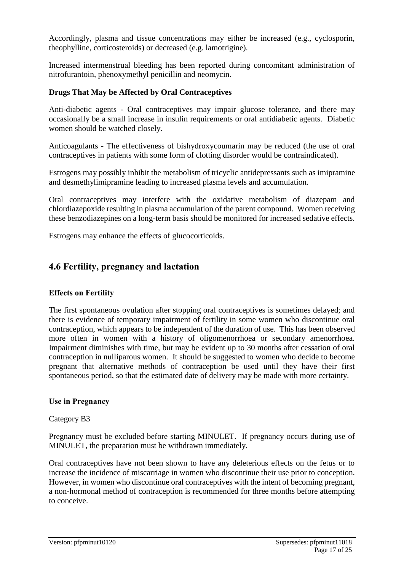Accordingly, plasma and tissue concentrations may either be increased (e.g., cyclosporin, theophylline, corticosteroids) or decreased (e.g. lamotrigine).

Increased intermenstrual bleeding has been reported during concomitant administration of nitrofurantoin, phenoxymethyl penicillin and neomycin.

#### **Drugs That May be Affected by Oral Contraceptives**

Anti-diabetic agents - Oral contraceptives may impair glucose tolerance, and there may occasionally be a small increase in insulin requirements or oral antidiabetic agents. Diabetic women should be watched closely.

Anticoagulants - The effectiveness of bishydroxycoumarin may be reduced (the use of oral contraceptives in patients with some form of clotting disorder would be contraindicated).

Estrogens may possibly inhibit the metabolism of tricyclic antidepressants such as imipramine and desmethylimipramine leading to increased plasma levels and accumulation.

Oral contraceptives may interfere with the oxidative metabolism of diazepam and chlordiazepoxide resulting in plasma accumulation of the parent compound. Women receiving these benzodiazepines on a long-term basis should be monitored for increased sedative effects.

Estrogens may enhance the effects of glucocorticoids.

## **4.6 Fertility, pregnancy and lactation**

#### **Effects on Fertility**

The first spontaneous ovulation after stopping oral contraceptives is sometimes delayed; and there is evidence of temporary impairment of fertility in some women who discontinue oral contraception, which appears to be independent of the duration of use. This has been observed more often in women with a history of oligomenorrhoea or secondary amenorrhoea. Impairment diminishes with time, but may be evident up to 30 months after cessation of oral contraception in nulliparous women. It should be suggested to women who decide to become pregnant that alternative methods of contraception be used until they have their first spontaneous period, so that the estimated date of delivery may be made with more certainty.

#### **Use in Pregnancy**

#### Category B3

Pregnancy must be excluded before starting MINULET. If pregnancy occurs during use of MINULET, the preparation must be withdrawn immediately.

Oral contraceptives have not been shown to have any deleterious effects on the fetus or to increase the incidence of miscarriage in women who discontinue their use prior to conception. However, in women who discontinue oral contraceptives with the intent of becoming pregnant, a non-hormonal method of contraception is recommended for three months before attempting to conceive.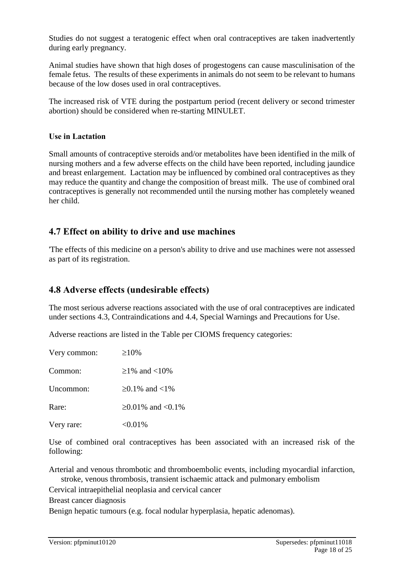Studies do not suggest a teratogenic effect when oral contraceptives are taken inadvertently during early pregnancy.

Animal studies have shown that high doses of progestogens can cause masculinisation of the female fetus. The results of these experiments in animals do not seem to be relevant to humans because of the low doses used in oral contraceptives.

The increased risk of VTE during the postpartum period (recent delivery or second trimester abortion) should be considered when re-starting MINULET.

#### **Use in Lactation**

Small amounts of contraceptive steroids and/or metabolites have been identified in the milk of nursing mothers and a few adverse effects on the child have been reported, including jaundice and breast enlargement. Lactation may be influenced by combined oral contraceptives as they may reduce the quantity and change the composition of breast milk. The use of combined oral contraceptives is generally not recommended until the nursing mother has completely weaned her child.

## **4.7 Effect on ability to drive and use machines**

'The effects of this medicine on a person's ability to drive and use machines were not assessed as part of its registration.

## **4.8 Adverse effects (undesirable effects)**

The most serious adverse reactions associated with the use of oral contraceptives are indicated under sections 4.3, Contraindications and 4.4, Special Warnings and Precautions for Use.

Adverse reactions are listed in the Table per CIOMS frequency categories:

| Very common: | $>10\%$             |
|--------------|---------------------|
| Common:      | $>1\%$ and $<10\%$  |
| Uncommon:    | ≥0.1% and <1%       |
| Rare:        | $≥0.01\%$ and <0.1% |
| Very rare:   | $< 0.01\%$          |
|              |                     |

Use of combined oral contraceptives has been associated with an increased risk of the following:

Arterial and venous thrombotic and thromboembolic events, including myocardial infarction, stroke, venous thrombosis, transient ischaemic attack and pulmonary embolism

Cervical intraepithelial neoplasia and cervical cancer

Breast cancer diagnosis

Benign hepatic tumours (e.g. focal nodular hyperplasia, hepatic adenomas).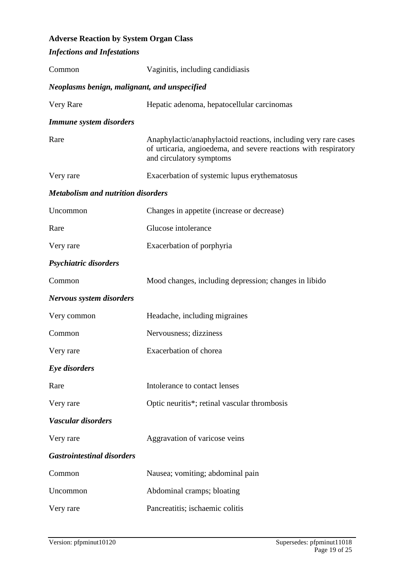## **Adverse Reaction by System Organ Class**

| <b>Infections and Infestations</b>           |                                                                                                                                                                |
|----------------------------------------------|----------------------------------------------------------------------------------------------------------------------------------------------------------------|
| Common                                       | Vaginitis, including candidiasis                                                                                                                               |
| Neoplasms benign, malignant, and unspecified |                                                                                                                                                                |
| Very Rare                                    | Hepatic adenoma, hepatocellular carcinomas                                                                                                                     |
| <b>Immune system disorders</b>               |                                                                                                                                                                |
| Rare                                         | Anaphylactic/anaphylactoid reactions, including very rare cases<br>of urticaria, angioedema, and severe reactions with respiratory<br>and circulatory symptoms |
| Very rare                                    | Exacerbation of systemic lupus erythematosus                                                                                                                   |
| <b>Metabolism and nutrition disorders</b>    |                                                                                                                                                                |
| Uncommon                                     | Changes in appetite (increase or decrease)                                                                                                                     |
| Rare                                         | Glucose intolerance                                                                                                                                            |
| Very rare                                    | Exacerbation of porphyria                                                                                                                                      |
| Psychiatric disorders                        |                                                                                                                                                                |
| Common                                       | Mood changes, including depression; changes in libido                                                                                                          |
| Nervous system disorders                     |                                                                                                                                                                |
| Very common                                  | Headache, including migraines                                                                                                                                  |
| Common                                       | Nervousness; dizziness                                                                                                                                         |
| Very rare                                    | Exacerbation of chorea                                                                                                                                         |
| Eye disorders                                |                                                                                                                                                                |
| Rare                                         | Intolerance to contact lenses                                                                                                                                  |
| Very rare                                    | Optic neuritis*; retinal vascular thrombosis                                                                                                                   |
| Vascular disorders                           |                                                                                                                                                                |
| Very rare                                    | Aggravation of varicose veins                                                                                                                                  |
| <b>Gastrointestinal disorders</b>            |                                                                                                                                                                |
| Common                                       | Nausea; vomiting; abdominal pain                                                                                                                               |
| Uncommon                                     | Abdominal cramps; bloating                                                                                                                                     |
| Very rare                                    | Pancreatitis; ischaemic colitis                                                                                                                                |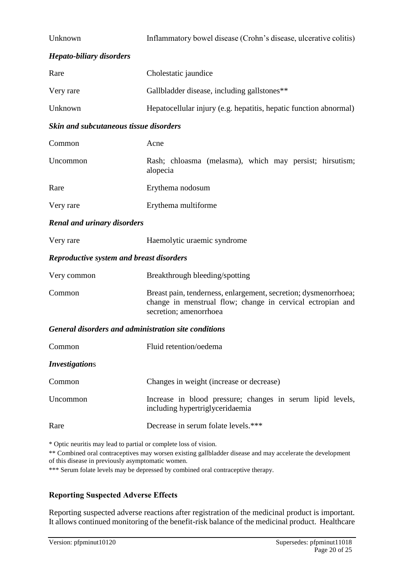| Unknown                                                                                                               | Inflammatory bowel disease (Crohn's disease, ulcerative colitis)                                                                                        |  |
|-----------------------------------------------------------------------------------------------------------------------|---------------------------------------------------------------------------------------------------------------------------------------------------------|--|
| <b>Hepato-biliary disorders</b>                                                                                       |                                                                                                                                                         |  |
| Rare                                                                                                                  | Cholestatic jaundice                                                                                                                                    |  |
| Very rare                                                                                                             | Gallbladder disease, including gallstones**                                                                                                             |  |
| Unknown                                                                                                               | Hepatocellular injury (e.g. hepatitis, hepatic function abnormal)                                                                                       |  |
| Skin and subcutaneous tissue disorders                                                                                |                                                                                                                                                         |  |
| Common                                                                                                                | Acne                                                                                                                                                    |  |
| Uncommon                                                                                                              | Rash; chloasma (melasma), which may persist; hirsutism;<br>alopecia                                                                                     |  |
| Rare                                                                                                                  | Erythema nodosum                                                                                                                                        |  |
| Very rare                                                                                                             | Erythema multiforme                                                                                                                                     |  |
| <b>Renal and urinary disorders</b>                                                                                    |                                                                                                                                                         |  |
| Very rare                                                                                                             | Haemolytic uraemic syndrome                                                                                                                             |  |
| <b>Reproductive system and breast disorders</b>                                                                       |                                                                                                                                                         |  |
| Very common                                                                                                           | Breakthrough bleeding/spotting                                                                                                                          |  |
| Common                                                                                                                | Breast pain, tenderness, enlargement, secretion; dysmenorrhoea;<br>change in menstrual flow; change in cervical ectropian and<br>secretion; amenorrhoea |  |
| General disorders and administration site conditions                                                                  |                                                                                                                                                         |  |
| Common                                                                                                                | Fluid retention/oedema                                                                                                                                  |  |
| <i><b>Investigations</b></i>                                                                                          |                                                                                                                                                         |  |
| Common                                                                                                                | Changes in weight (increase or decrease)                                                                                                                |  |
| Uncommon                                                                                                              | Increase in blood pressure; changes in serum lipid levels,<br>including hypertriglyceridaemia                                                           |  |
| Rare                                                                                                                  | Decrease in serum folate levels.***                                                                                                                     |  |
| * Optic neuritis may lead to partial or complete loss of vision.<br>of this disease in previously asymptomatic women. | ** Combined oral contraceptives may worsen existing gallbladder disease and may accelerate the development                                              |  |

\*\*\* Serum folate levels may be depressed by combined oral contraceptive therapy.

## **Reporting Suspected Adverse Effects**

Reporting suspected adverse reactions after registration of the medicinal product is important. It allows continued monitoring of the benefit-risk balance of the medicinal product. Healthcare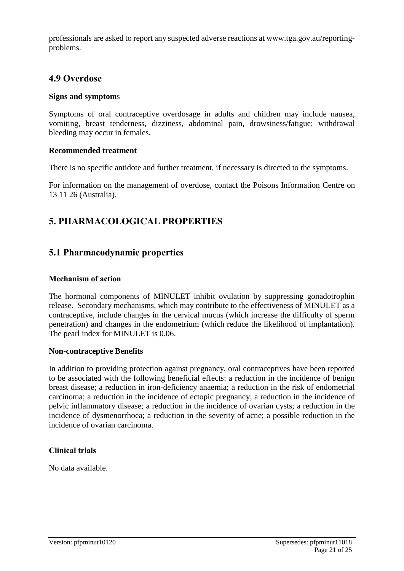professionals are asked to report any suspected adverse reactions at www.tga.gov.au/reportingproblems.

## **4.9 Overdose**

#### **Signs and symptom**s

Symptoms of oral contraceptive overdosage in adults and children may include nausea, vomiting, breast tenderness, dizziness, abdominal pain, drowsiness/fatigue; withdrawal bleeding may occur in females.

#### **Recommended treatment**

There is no specific antidote and further treatment, if necessary is directed to the symptoms.

For information on the management of overdose, contact the Poisons Information Centre on 13 11 26 (Australia).

## **5. PHARMACOLOGICAL PROPERTIES**

## **5.1 Pharmacodynamic properties**

#### **Mechanism of action**

The hormonal components of MINULET inhibit ovulation by suppressing gonadotrophin release. Secondary mechanisms, which may contribute to the effectiveness of MINULET as a contraceptive, include changes in the cervical mucus (which increase the difficulty of sperm penetration) and changes in the endometrium (which reduce the likelihood of implantation). The pearl index for MINULET is 0.06.

#### **Non-contraceptive Benefits**

In addition to providing protection against pregnancy, oral contraceptives have been reported to be associated with the following beneficial effects: a reduction in the incidence of benign breast disease; a reduction in iron-deficiency anaemia; a reduction in the risk of endometrial carcinoma; a reduction in the incidence of ectopic pregnancy; a reduction in the incidence of pelvic inflammatory disease; a reduction in the incidence of ovarian cysts; a reduction in the incidence of dysmenorrhoea; a reduction in the severity of acne; a possible reduction in the incidence of ovarian carcinoma.

#### **Clinical trials**

No data available.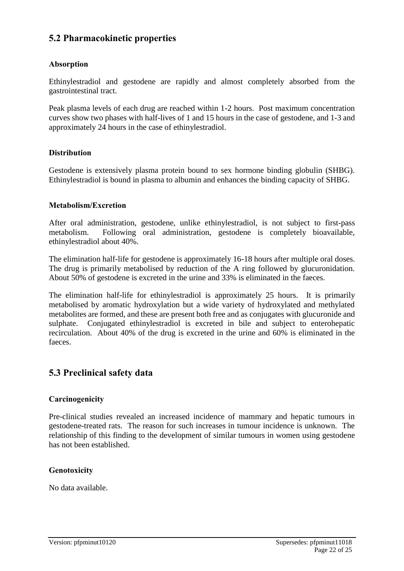## **5.2 Pharmacokinetic properties**

#### **Absorption**

Ethinylestradiol and gestodene are rapidly and almost completely absorbed from the gastrointestinal tract.

Peak plasma levels of each drug are reached within 1-2 hours. Post maximum concentration curves show two phases with half-lives of 1 and 15 hours in the case of gestodene, and 1-3 and approximately 24 hours in the case of ethinylestradiol.

#### **Distribution**

Gestodene is extensively plasma protein bound to sex hormone binding globulin (SHBG). Ethinylestradiol is bound in plasma to albumin and enhances the binding capacity of SHBG.

#### **Metabolism/Excretion**

After oral administration, gestodene, unlike ethinylestradiol, is not subject to first-pass metabolism. Following oral administration, gestodene is completely bioavailable, ethinylestradiol about 40%.

The elimination half-life for gestodene is approximately 16-18 hours after multiple oral doses. The drug is primarily metabolised by reduction of the A ring followed by glucuronidation. About 50% of gestodene is excreted in the urine and 33% is eliminated in the faeces.

The elimination half-life for ethinylestradiol is approximately 25 hours. It is primarily metabolised by aromatic hydroxylation but a wide variety of hydroxylated and methylated metabolites are formed, and these are present both free and as conjugates with glucuronide and sulphate. Conjugated ethinylestradiol is excreted in bile and subject to enterohepatic recirculation. About 40% of the drug is excreted in the urine and 60% is eliminated in the faeces.

## **5.3 Preclinical safety data**

#### **Carcinogenicity**

Pre-clinical studies revealed an increased incidence of mammary and hepatic tumours in gestodene-treated rats. The reason for such increases in tumour incidence is unknown. The relationship of this finding to the development of similar tumours in women using gestodene has not been established.

#### **Genotoxicity**

No data available.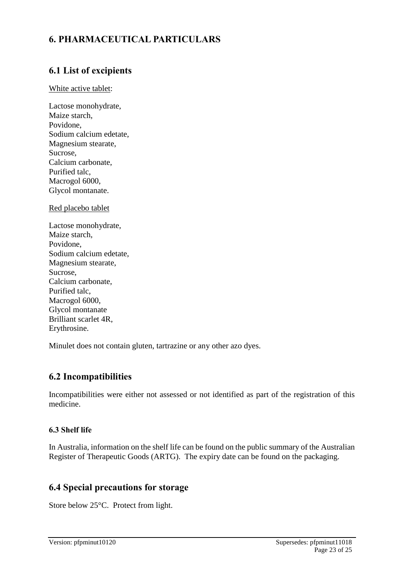## **6. PHARMACEUTICAL PARTICULARS**

## **6.1 List of excipients**

#### White active tablet:

Lactose monohydrate, Maize starch, Povidone, Sodium calcium edetate, Magnesium stearate, Sucrose, Calcium carbonate, Purified talc, Macrogol 6000, Glycol montanate.

Red placebo tablet

Minulet does not contain gluten, tartrazine or any other azo dyes.

## **6.2 Incompatibilities**

Incompatibilities were either not assessed or not identified as part of the registration of this medicine.

#### **6.3 Shelf life**

In Australia, information on the shelf life can be found on the public summary of the Australian Register of Therapeutic Goods (ARTG). The expiry date can be found on the packaging.

## **6.4 Special precautions for storage**

Store below 25°C. Protect from light.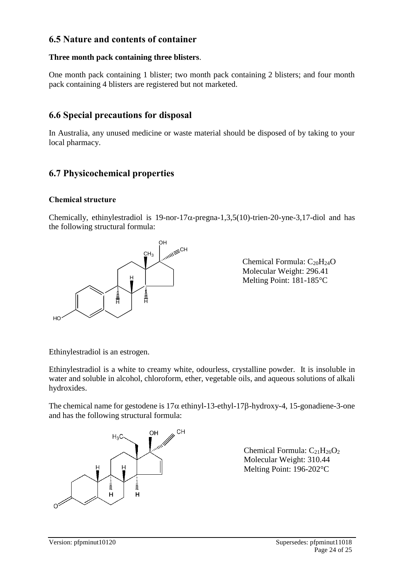## **6.5 Nature and contents of container**

#### **Three month pack containing three blisters**.

One month pack containing 1 blister; two month pack containing 2 blisters; and four month pack containing 4 blisters are registered but not marketed.

## **6.6 Special precautions for disposal**

In Australia, any unused medicine or waste material should be disposed of by taking to your local pharmacy.

## **6.7 Physicochemical properties**

#### **Chemical structure**

Chemically, ethinylestradiol is  $19$ -nor- $17\alpha$ -pregna-1,3,5(10)-trien-20-yne-3,17-diol and has the following structural formula:



Chemical Formula: C<sub>20</sub>H<sub>24</sub>O Molecular Weight: 296.41 Melting Point: 181-185°C

Ethinylestradiol is an estrogen.

Ethinylestradiol is a white to creamy white, odourless, crystalline powder. It is insoluble in water and soluble in alcohol, chloroform, ether, vegetable oils, and aqueous solutions of alkali hydroxides.

The chemical name for gestodene is  $17\alpha$  ethinyl-13-ethyl-17 $\beta$ -hydroxy-4, 15-gonadiene-3-one and has the following structural formula:



Chemical Formula:  $C_{21}H_{26}O_2$ Molecular Weight: 310.44 Melting Point: 196-202°C